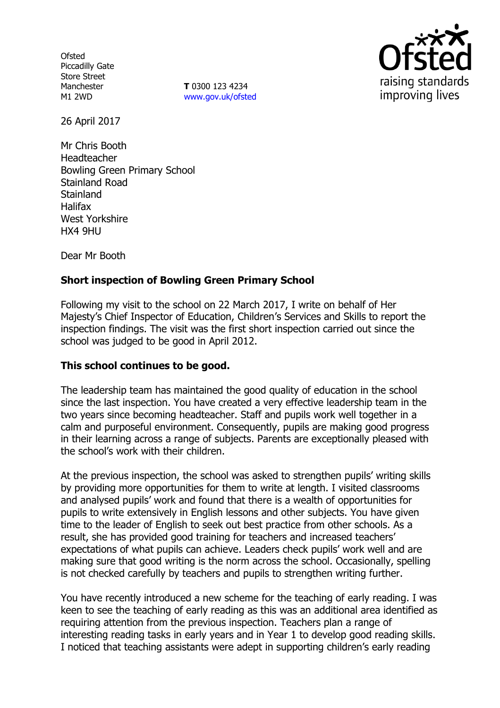**Ofsted** Piccadilly Gate Store Street Manchester M1 2WD

**T** 0300 123 4234 [www.gov.uk/ofsted](http://www.gov.uk/ofsted)



26 April 2017

Mr Chris Booth Headteacher Bowling Green Primary School Stainland Road **Stainland** Halifax West Yorkshire HX4 9HU

Dear Mr Booth

# **Short inspection of Bowling Green Primary School**

Following my visit to the school on 22 March 2017, I write on behalf of Her Majesty's Chief Inspector of Education, Children's Services and Skills to report the inspection findings. The visit was the first short inspection carried out since the school was judged to be good in April 2012.

#### **This school continues to be good.**

The leadership team has maintained the good quality of education in the school since the last inspection. You have created a very effective leadership team in the two years since becoming headteacher. Staff and pupils work well together in a calm and purposeful environment. Consequently, pupils are making good progress in their learning across a range of subjects. Parents are exceptionally pleased with the school's work with their children.

At the previous inspection, the school was asked to strengthen pupils' writing skills by providing more opportunities for them to write at length. I visited classrooms and analysed pupils' work and found that there is a wealth of opportunities for pupils to write extensively in English lessons and other subjects. You have given time to the leader of English to seek out best practice from other schools. As a result, she has provided good training for teachers and increased teachers' expectations of what pupils can achieve. Leaders check pupils' work well and are making sure that good writing is the norm across the school. Occasionally, spelling is not checked carefully by teachers and pupils to strengthen writing further.

You have recently introduced a new scheme for the teaching of early reading. I was keen to see the teaching of early reading as this was an additional area identified as requiring attention from the previous inspection. Teachers plan a range of interesting reading tasks in early years and in Year 1 to develop good reading skills. I noticed that teaching assistants were adept in supporting children's early reading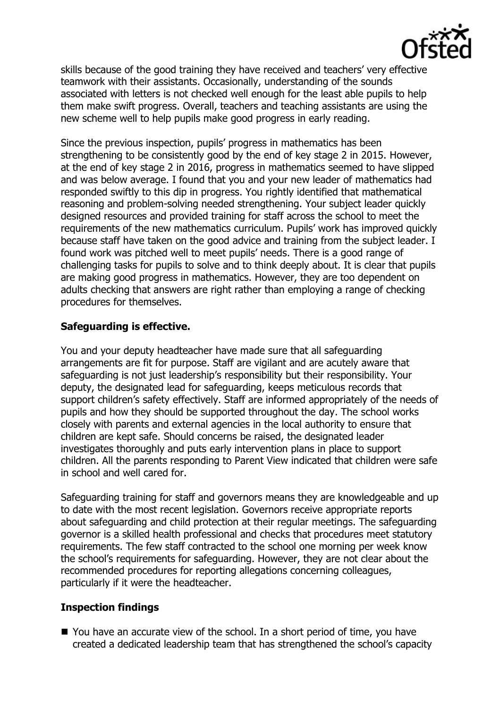

skills because of the good training they have received and teachers' very effective teamwork with their assistants. Occasionally, understanding of the sounds associated with letters is not checked well enough for the least able pupils to help them make swift progress. Overall, teachers and teaching assistants are using the new scheme well to help pupils make good progress in early reading.

Since the previous inspection, pupils' progress in mathematics has been strengthening to be consistently good by the end of key stage 2 in 2015. However, at the end of key stage 2 in 2016, progress in mathematics seemed to have slipped and was below average. I found that you and your new leader of mathematics had responded swiftly to this dip in progress. You rightly identified that mathematical reasoning and problem-solving needed strengthening. Your subject leader quickly designed resources and provided training for staff across the school to meet the requirements of the new mathematics curriculum. Pupils' work has improved quickly because staff have taken on the good advice and training from the subject leader. I found work was pitched well to meet pupils' needs. There is a good range of challenging tasks for pupils to solve and to think deeply about. It is clear that pupils are making good progress in mathematics. However, they are too dependent on adults checking that answers are right rather than employing a range of checking procedures for themselves.

# **Safeguarding is effective.**

You and your deputy headteacher have made sure that all safeguarding arrangements are fit for purpose. Staff are vigilant and are acutely aware that safeguarding is not just leadership's responsibility but their responsibility. Your deputy, the designated lead for safeguarding, keeps meticulous records that support children's safety effectively. Staff are informed appropriately of the needs of pupils and how they should be supported throughout the day. The school works closely with parents and external agencies in the local authority to ensure that children are kept safe. Should concerns be raised, the designated leader investigates thoroughly and puts early intervention plans in place to support children. All the parents responding to Parent View indicated that children were safe in school and well cared for.

Safeguarding training for staff and governors means they are knowledgeable and up to date with the most recent legislation. Governors receive appropriate reports about safeguarding and child protection at their regular meetings. The safeguarding governor is a skilled health professional and checks that procedures meet statutory requirements. The few staff contracted to the school one morning per week know the school's requirements for safeguarding. However, they are not clear about the recommended procedures for reporting allegations concerning colleagues, particularly if it were the headteacher.

# **Inspection findings**

■ You have an accurate view of the school. In a short period of time, you have created a dedicated leadership team that has strengthened the school's capacity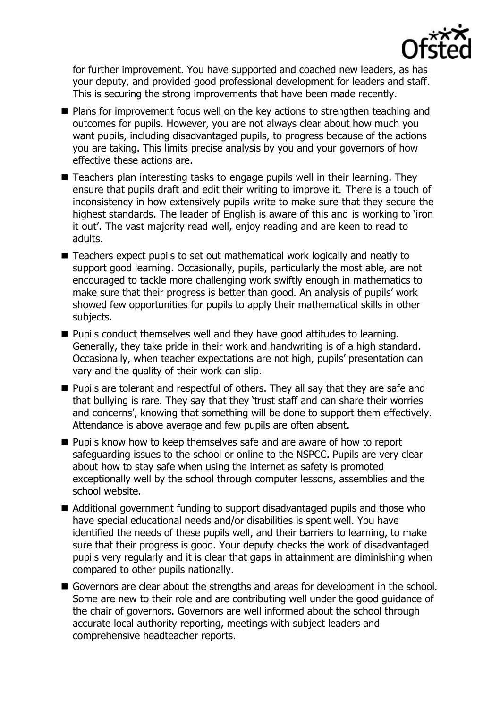

for further improvement. You have supported and coached new leaders, as has your deputy, and provided good professional development for leaders and staff. This is securing the strong improvements that have been made recently.

- Plans for improvement focus well on the key actions to strengthen teaching and outcomes for pupils. However, you are not always clear about how much you want pupils, including disadvantaged pupils, to progress because of the actions you are taking. This limits precise analysis by you and your governors of how effective these actions are.
- Teachers plan interesting tasks to engage pupils well in their learning. They ensure that pupils draft and edit their writing to improve it. There is a touch of inconsistency in how extensively pupils write to make sure that they secure the highest standards. The leader of English is aware of this and is working to 'iron it out'. The vast majority read well, enjoy reading and are keen to read to adults.
- Teachers expect pupils to set out mathematical work logically and neatly to support good learning. Occasionally, pupils, particularly the most able, are not encouraged to tackle more challenging work swiftly enough in mathematics to make sure that their progress is better than good. An analysis of pupils' work showed few opportunities for pupils to apply their mathematical skills in other subjects.
- **Pupils conduct themselves well and they have good attitudes to learning.** Generally, they take pride in their work and handwriting is of a high standard. Occasionally, when teacher expectations are not high, pupils' presentation can vary and the quality of their work can slip.
- **Pupils are tolerant and respectful of others. They all say that they are safe and** that bullying is rare. They say that they 'trust staff and can share their worries and concerns', knowing that something will be done to support them effectively. Attendance is above average and few pupils are often absent.
- **Pupils know how to keep themselves safe and are aware of how to report** safeguarding issues to the school or online to the NSPCC. Pupils are very clear about how to stay safe when using the internet as safety is promoted exceptionally well by the school through computer lessons, assemblies and the school website.
- Additional government funding to support disadvantaged pupils and those who have special educational needs and/or disabilities is spent well. You have identified the needs of these pupils well, and their barriers to learning, to make sure that their progress is good. Your deputy checks the work of disadvantaged pupils very regularly and it is clear that gaps in attainment are diminishing when compared to other pupils nationally.
- Governors are clear about the strengths and areas for development in the school. Some are new to their role and are contributing well under the good guidance of the chair of governors. Governors are well informed about the school through accurate local authority reporting, meetings with subject leaders and comprehensive headteacher reports.